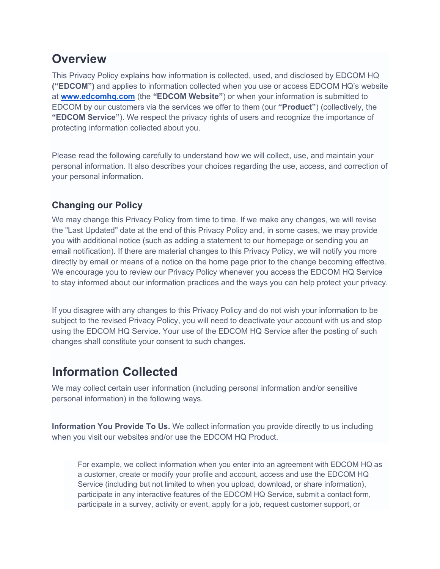#### **Overview**

This Privacy Policy explains how information is collected, used, and disclosed by EDCOM HQ **("EDCOM")** and applies to information collected when you use or access EDCOM HQ's website at **www.edcomhq.com** (the **"EDCOM Website"**) or when your information is submitted to EDCOM by our customers via the services we offer to them (our **"Product"**) (collectively, the **"EDCOM Service"**). We respect the privacy rights of users and recognize the importance of protecting information collected about you.

Please read the following carefully to understand how we will collect, use, and maintain your personal information. It also describes your choices regarding the use, access, and correction of your personal information.

#### **Changing our Policy**

We may change this Privacy Policy from time to time. If we make any changes, we will revise the "Last Updated" date at the end of this Privacy Policy and, in some cases, we may provide you with additional notice (such as adding a statement to our homepage or sending you an email notification). If there are material changes to this Privacy Policy, we will notify you more directly by email or means of a notice on the home page prior to the change becoming effective. We encourage you to review our Privacy Policy whenever you access the EDCOM HQ Service to stay informed about our information practices and the ways you can help protect your privacy.

If you disagree with any changes to this Privacy Policy and do not wish your information to be subject to the revised Privacy Policy, you will need to deactivate your account with us and stop using the EDCOM HQ Service. Your use of the EDCOM HQ Service after the posting of such changes shall constitute your consent to such changes.

#### **Information Collected**

We may collect certain user information (including personal information and/or sensitive personal information) in the following ways.

**Information You Provide To Us.** We collect information you provide directly to us including when you visit our websites and/or use the EDCOM HQ Product.

For example, we collect information when you enter into an agreement with EDCOM HQ as a customer, create or modify your profile and account, access and use the EDCOM HQ Service (including but not limited to when you upload, download, or share information), participate in any interactive features of the EDCOM HQ Service, submit a contact form, participate in a survey, activity or event, apply for a job, request customer support, or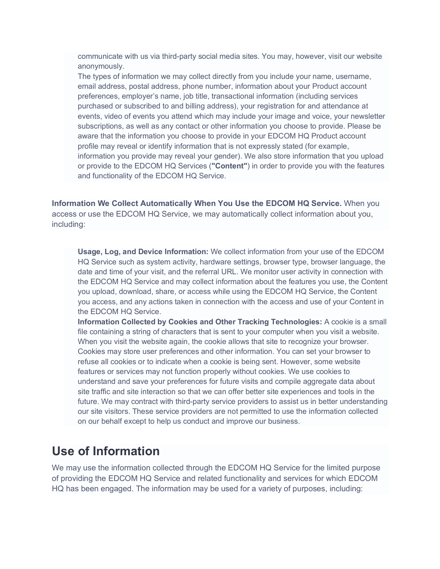communicate with us via third-party social media sites. You may, however, visit our website anonymously.

The types of information we may collect directly from you include your name, username, email address, postal address, phone number, information about your Product account preferences, employer's name, job title, transactional information (including services purchased or subscribed to and billing address), your registration for and attendance at events, video of events you attend which may include your image and voice, your newsletter subscriptions, as well as any contact or other information you choose to provide. Please be aware that the information you choose to provide in your EDCOM HQ Product account profile may reveal or identify information that is not expressly stated (for example, information you provide may reveal your gender). We also store information that you upload or provide to the EDCOM HQ Services (**"Content"**) in order to provide you with the features and functionality of the EDCOM HQ Service.

**Information We Collect Automatically When You Use the EDCOM HQ Service.** When you access or use the EDCOM HQ Service, we may automatically collect information about you, including:

**Usage, Log, and Device Information:** We collect information from your use of the EDCOM HQ Service such as system activity, hardware settings, browser type, browser language, the date and time of your visit, and the referral URL. We monitor user activity in connection with the EDCOM HQ Service and may collect information about the features you use, the Content you upload, download, share, or access while using the EDCOM HQ Service, the Content you access, and any actions taken in connection with the access and use of your Content in the EDCOM HQ Service.

**Information Collected by Cookies and Other Tracking Technologies:** A cookie is a small file containing a string of characters that is sent to your computer when you visit a website. When you visit the website again, the cookie allows that site to recognize your browser. Cookies may store user preferences and other information. You can set your browser to refuse all cookies or to indicate when a cookie is being sent. However, some website features or services may not function properly without cookies. We use cookies to understand and save your preferences for future visits and compile aggregate data about site traffic and site interaction so that we can offer better site experiences and tools in the future. We may contract with third-party service providers to assist us in better understanding our site visitors. These service providers are not permitted to use the information collected on our behalf except to help us conduct and improve our business.

#### **Use of Information**

We may use the information collected through the EDCOM HQ Service for the limited purpose of providing the EDCOM HQ Service and related functionality and services for which EDCOM HQ has been engaged. The information may be used for a variety of purposes, including: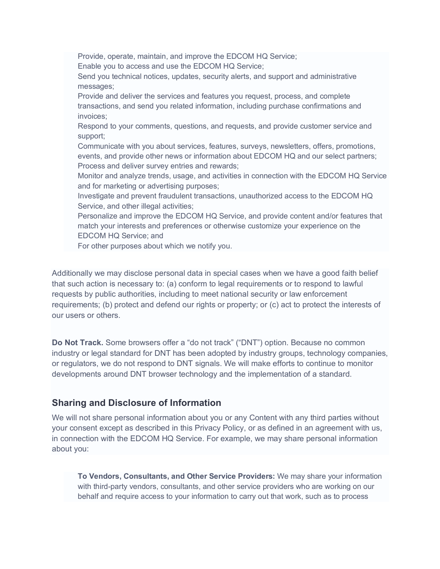Provide, operate, maintain, and improve the EDCOM HQ Service; Enable you to access and use the EDCOM HQ Service; Send you technical notices, updates, security alerts, and support and administrative messages; Provide and deliver the services and features you request, process, and complete transactions, and send you related information, including purchase confirmations and invoices; Respond to your comments, questions, and requests, and provide customer service and support; Communicate with you about services, features, surveys, newsletters, offers, promotions, events, and provide other news or information about EDCOM HQ and our select partners; Process and deliver survey entries and rewards; Monitor and analyze trends, usage, and activities in connection with the EDCOM HQ Service and for marketing or advertising purposes; Investigate and prevent fraudulent transactions, unauthorized access to the EDCOM HQ Service, and other illegal activities; Personalize and improve the EDCOM HQ Service, and provide content and/or features that match your interests and preferences or otherwise customize your experience on the EDCOM HQ Service; and For other purposes about which we notify you.

Additionally we may disclose personal data in special cases when we have a good faith belief that such action is necessary to: (a) conform to legal requirements or to respond to lawful requests by public authorities, including to meet national security or law enforcement requirements; (b) protect and defend our rights or property; or (c) act to protect the interests of our users or others.

**Do Not Track.** Some browsers offer a "do not track" ("DNT") option. Because no common industry or legal standard for DNT has been adopted by industry groups, technology companies, or regulators, we do not respond to DNT signals. We will make efforts to continue to monitor developments around DNT browser technology and the implementation of a standard.

#### **Sharing and Disclosure of Information**

We will not share personal information about you or any Content with any third parties without your consent except as described in this Privacy Policy, or as defined in an agreement with us, in connection with the EDCOM HQ Service. For example, we may share personal information about you:

**To Vendors, Consultants, and Other Service Providers:** We may share your information with third-party vendors, consultants, and other service providers who are working on our behalf and require access to your information to carry out that work, such as to process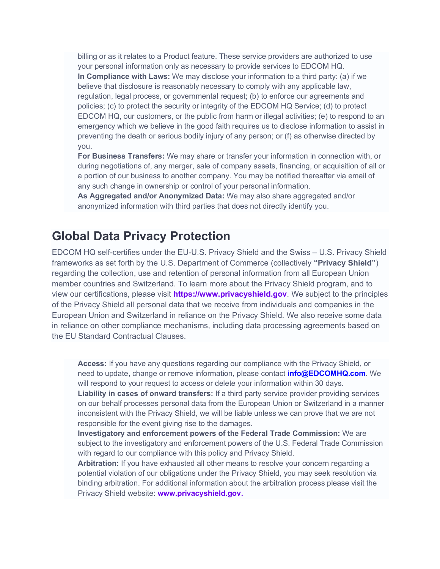billing or as it relates to a Product feature. These service providers are authorized to use your personal information only as necessary to provide services to EDCOM HQ. **In Compliance with Laws:** We may disclose your information to a third party: (a) if we believe that disclosure is reasonably necessary to comply with any applicable law, regulation, legal process, or governmental request; (b) to enforce our agreements and policies; (c) to protect the security or integrity of the EDCOM HQ Service; (d) to protect EDCOM HQ, our customers, or the public from harm or illegal activities; (e) to respond to an emergency which we believe in the good faith requires us to disclose information to assist in preventing the death or serious bodily injury of any person; or (f) as otherwise directed by you.

**For Business Transfers:** We may share or transfer your information in connection with, or during negotiations of, any merger, sale of company assets, financing, or acquisition of all or a portion of our business to another company. You may be notified thereafter via email of any such change in ownership or control of your personal information.

**As Aggregated and/or Anonymized Data:** We may also share aggregated and/or anonymized information with third parties that does not directly identify you.

#### **Global Data Privacy Protection**

EDCOM HQ self-certifies under the EU-U.S. Privacy Shield and the Swiss – U.S. Privacy Shield frameworks as set forth by the U.S. Department of Commerce (collectively **"Privacy Shield"**) regarding the collection, use and retention of personal information from all European Union member countries and Switzerland. To learn more about the Privacy Shield program, and to view our certifications, please visit **https://www.privacyshield.gov**. We subject to the principles of the Privacy Shield all personal data that we receive from individuals and companies in the European Union and Switzerland in reliance on the Privacy Shield. We also receive some data in reliance on other compliance mechanisms, including data processing agreements based on the EU Standard Contractual Clauses.

**Access:** If you have any questions regarding our compliance with the Privacy Shield, or need to update, change or remove information, please contact **info@EDCOMHQ.com**. We will respond to your request to access or delete your information within 30 days. **Liability in cases of onward transfers:** If a third party service provider providing services on our behalf processes personal data from the European Union or Switzerland in a manner inconsistent with the Privacy Shield, we will be liable unless we can prove that we are not responsible for the event giving rise to the damages. **Investigatory and enforcement powers of the Federal Trade Commission:** We are subject to the investigatory and enforcement powers of the U.S. Federal Trade Commission

**Arbitration:** If you have exhausted all other means to resolve your concern regarding a potential violation of our obligations under the Privacy Shield, you may seek resolution via binding arbitration. For additional information about the arbitration process please visit the Privacy Shield website: **www.privacyshield.gov.**

with regard to our compliance with this policy and Privacy Shield.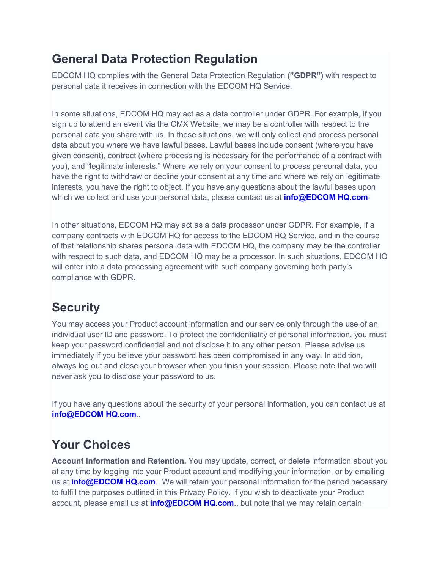## **General Data Protection Regulation**

EDCOM HQ complies with the General Data Protection Regulation **("GDPR")** with respect to personal data it receives in connection with the EDCOM HQ Service.

In some situations, EDCOM HQ may act as a data controller under GDPR. For example, if you sign up to attend an event via the CMX Website, we may be a controller with respect to the personal data you share with us. In these situations, we will only collect and process personal data about you where we have lawful bases. Lawful bases include consent (where you have given consent), contract (where processing is necessary for the performance of a contract with you), and "legitimate interests." Where we rely on your consent to process personal data, you have the right to withdraw or decline your consent at any time and where we rely on legitimate interests, you have the right to object. If you have any questions about the lawful bases upon which we collect and use your personal data, please contact us at **info@EDCOM HQ.com**.

In other situations, EDCOM HQ may act as a data processor under GDPR. For example, if a company contracts with EDCOM HQ for access to the EDCOM HQ Service, and in the course of that relationship shares personal data with EDCOM HQ, the company may be the controller with respect to such data, and EDCOM HQ may be a processor. In such situations, EDCOM HQ will enter into a data processing agreement with such company governing both party's compliance with GDPR.

## **Security**

You may access your Product account information and our service only through the use of an individual user ID and password. To protect the confidentiality of personal information, you must keep your password confidential and not disclose it to any other person. Please advise us immediately if you believe your password has been compromised in any way. In addition, always log out and close your browser when you finish your session. Please note that we will never ask you to disclose your password to us.

If you have any questions about the security of your personal information, you can contact us at **info@EDCOM HQ.com**..

## **Your Choices**

**Account Information and Retention.** You may update, correct, or delete information about you at any time by logging into your Product account and modifying your information, or by emailing us at **info@EDCOM HQ.com**.. We will retain your personal information for the period necessary to fulfill the purposes outlined in this Privacy Policy. If you wish to deactivate your Product account, please email us at **info@EDCOM HQ.com**., but note that we may retain certain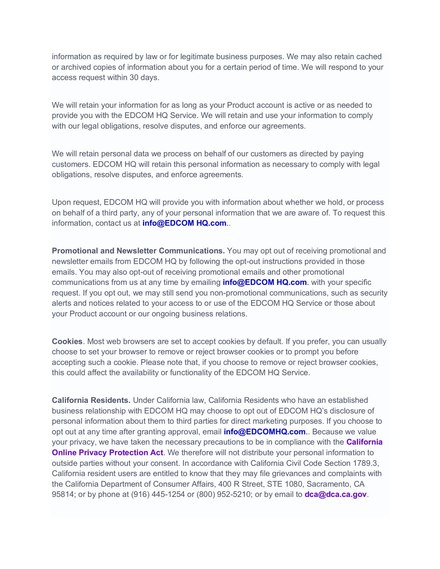information as required by law or for legitimate business purposes. We may also retain cached or archived copies of information about you for a certain period of time. We will respond to your access request within 30 days.

We will retain your information for as long as your Product account is active or as needed to provide you with the EDCOM HQ Service. We will retain and use your information to comply with our legal obligations, resolve disputes, and enforce our agreements.

We will retain personal data we process on behalf of our customers as directed by paying customers. EDCOM HQ will retain this personal information as necessary to comply with legal obligations, resolve disputes, and enforce agreements.

Upon request, EDCOM HQ will provide you with information about whether we hold, or process on behalf of a third party, any of your personal information that we are aware of. To request this information, contact us at **info@EDCOM HQ.com**..

**Promotional and Newsletter Communications.** You may opt out of receiving promotional and newsletter emails from EDCOM HQ by following the opt-out instructions provided in those emails. You may also opt-out of receiving promotional emails and other promotional communications from us at any time by emailing **info@EDCOM HQ.com**. with your specific request. If you opt out, we may still send you non-promotional communications, such as security alerts and notices related to your access to or use of the EDCOM HQ Service or those about your Product account or our ongoing business relations.

**Cookies**. Most web browsers are set to accept cookies by default. If you prefer, you can usually choose to set your browser to remove or reject browser cookies or to prompt you before accepting such a cookie. Please note that, if you choose to remove or reject browser cookies, this could affect the availability or functionality of the EDCOM HQ Service.

**California Residents.** Under California law, California Residents who have an established business relationship with EDCOM HQ may choose to opt out of EDCOM HQ's disclosure of personal information about them to third parties for direct marketing purposes. If you choose to opt out at any time after granting approval, email **info@EDCOMHQ.com**.. Because we value your privacy, we have taken the necessary precautions to be in compliance with the **California Online Privacy Protection Act**. We therefore will not distribute your personal information to outside parties without your consent. In accordance with California Civil Code Section 1789.3, California resident users are entitled to know that they may file grievances and complaints with the California Department of Consumer Affairs, 400 R Street, STE 1080, Sacramento, CA 95814; or by phone at (916) 445-1254 or (800) 952-5210; or by email to **dca@dca.ca.gov**.